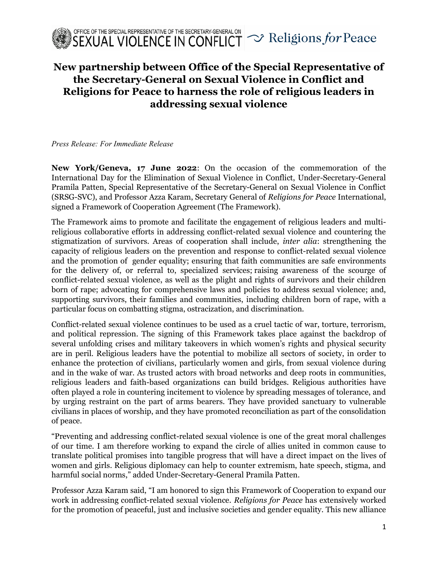

## New partnership between Office of the Special Representative of the Secretary-General on Sexual Violence in Conflict and Religions for Peace to harness the role of religious leaders in addressing sexual violence

Press Release: For Immediate Release

New York/Geneva, 17 June 2022: On the occasion of the commemoration of the International Day for the Elimination of Sexual Violence in Conflict, Under-Secretary-General Pramila Patten, Special Representative of the Secretary-General on Sexual Violence in Conflict (SRSG-SVC), and Professor Azza Karam, Secretary General of Religions for Peace International, signed a Framework of Cooperation Agreement (The Framework).

The Framework aims to promote and facilitate the engagement of religious leaders and multireligious collaborative efforts in addressing conflict-related sexual violence and countering the stigmatization of survivors. Areas of cooperation shall include, inter alia: strengthening the capacity of religious leaders on the prevention and response to conflict-related sexual violence and the promotion of gender equality; ensuring that faith communities are safe environments for the delivery of, or referral to, specialized services; raising awareness of the scourge of conflict-related sexual violence, as well as the plight and rights of survivors and their children born of rape; advocating for comprehensive laws and policies to address sexual violence; and, supporting survivors, their families and communities, including children born of rape, with a particular focus on combatting stigma, ostracization, and discrimination.

Conflict-related sexual violence continues to be used as a cruel tactic of war, torture, terrorism, and political repression. The signing of this Framework takes place against the backdrop of several unfolding crises and military takeovers in which women's rights and physical security are in peril. Religious leaders have the potential to mobilize all sectors of society, in order to enhance the protection of civilians, particularly women and girls, from sexual violence during and in the wake of war. As trusted actors with broad networks and deep roots in communities, religious leaders and faith-based organizations can build bridges. Religious authorities have often played a role in countering incitement to violence by spreading messages of tolerance, and by urging restraint on the part of arms bearers. They have provided sanctuary to vulnerable civilians in places of worship, and they have promoted reconciliation as part of the consolidation of peace.

"Preventing and addressing conflict-related sexual violence is one of the great moral challenges of our time. I am therefore working to expand the circle of allies united in common cause to translate political promises into tangible progress that will have a direct impact on the lives of women and girls. Religious diplomacy can help to counter extremism, hate speech, stigma, and harmful social norms," added Under-Secretary-General Pramila Patten.

Professor Azza Karam said, "I am honored to sign this Framework of Cooperation to expand our work in addressing conflict-related sexual violence. Religions for Peace has extensively worked for the promotion of peaceful, just and inclusive societies and gender equality. This new alliance